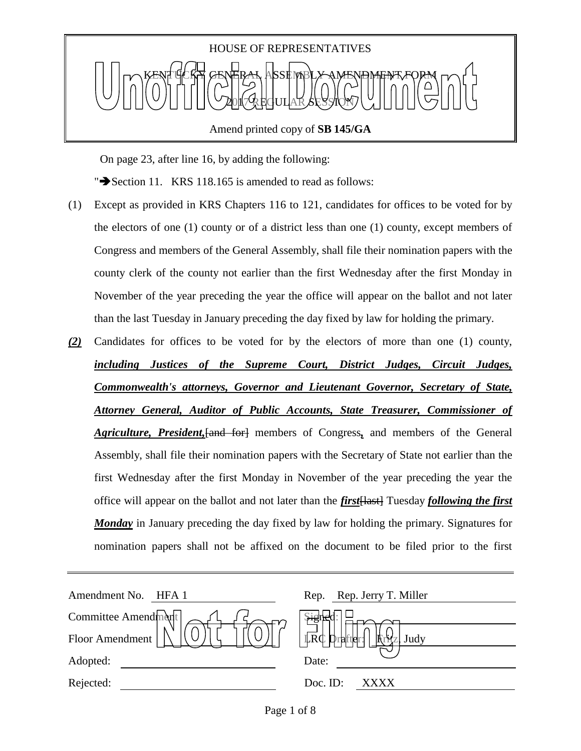

Amend printed copy of **SB 145/GA**

On page 23, after line 16, by adding the following:

" $\blacktriangleright$  Section 11. KRS 118.165 is amended to read as follows:

- (1) Except as provided in KRS Chapters 116 to 121, candidates for offices to be voted for by the electors of one (1) county or of a district less than one (1) county, except members of Congress and members of the General Assembly, shall file their nomination papers with the county clerk of the county not earlier than the first Wednesday after the first Monday in November of the year preceding the year the office will appear on the ballot and not later than the last Tuesday in January preceding the day fixed by law for holding the primary.
- *(2)* Candidates for offices to be voted for by the electors of more than one (1) county, *including Justices of the Supreme Court, District Judges, Circuit Judges, Commonwealth's attorneys, Governor and Lieutenant Governor, Secretary of State, Attorney General, Auditor of Public Accounts, State Treasurer, Commissioner of Agriculture, President,*[and for] members of Congress*,* and members of the General Assembly, shall file their nomination papers with the Secretary of State not earlier than the first Wednesday after the first Monday in November of the year preceding the year the office will appear on the ballot and not later than the *first*[last] Tuesday *following the first Monday* in January preceding the day fixed by law for holding the primary. Signatures for nomination papers shall not be affixed on the document to be filed prior to the first

| Amendment No. HFA 1 | Rep. Rep. Jerry T. Miller   |
|---------------------|-----------------------------|
| Committee Amendment | $\mathcal{H}^{\text{gr}}_S$ |
| Floor Amendment     | 卡<br>$LRC D_1$<br>rafter:   |
| Adopted:            | Date:                       |
| Rejected:           | Doc. ID:<br>XXXX            |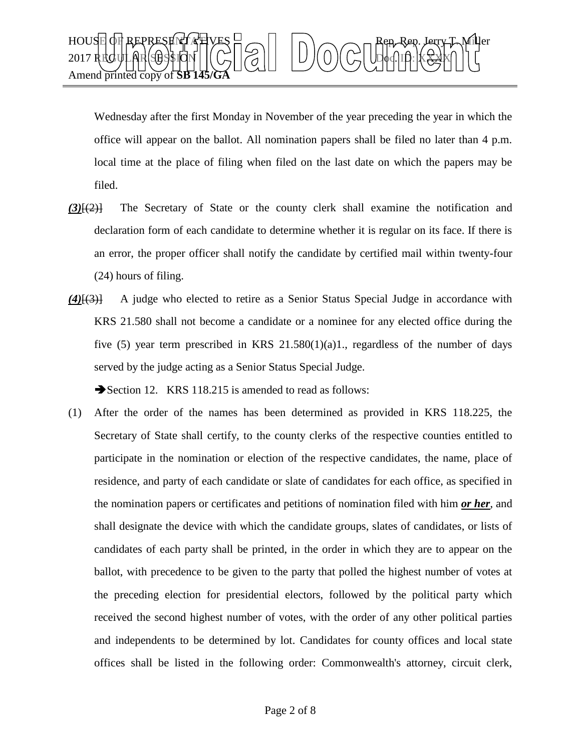

Wednesday after the first Monday in November of the year preceding the year in which the office will appear on the ballot. All nomination papers shall be filed no later than 4 p.m. local time at the place of filing when filed on the last date on which the papers may be filed.

- *(3)*[(2)] The Secretary of State or the county clerk shall examine the notification and declaration form of each candidate to determine whether it is regular on its face. If there is an error, the proper officer shall notify the candidate by certified mail within twenty-four (24) hours of filing.
- *(4)*[(3)] A judge who elected to retire as a Senior Status Special Judge in accordance with KRS 21.580 shall not become a candidate or a nominee for any elected office during the five (5) year term prescribed in KRS  $21.580(1)(a)1$ ., regardless of the number of days served by the judge acting as a Senior Status Special Judge.

Section 12. KRS 118.215 is amended to read as follows:

(1) After the order of the names has been determined as provided in KRS 118.225, the Secretary of State shall certify, to the county clerks of the respective counties entitled to participate in the nomination or election of the respective candidates, the name, place of residence, and party of each candidate or slate of candidates for each office, as specified in the nomination papers or certificates and petitions of nomination filed with him *or her*, and shall designate the device with which the candidate groups, slates of candidates, or lists of candidates of each party shall be printed, in the order in which they are to appear on the ballot, with precedence to be given to the party that polled the highest number of votes at the preceding election for presidential electors, followed by the political party which received the second highest number of votes, with the order of any other political parties and independents to be determined by lot. Candidates for county offices and local state offices shall be listed in the following order: Commonwealth's attorney, circuit clerk,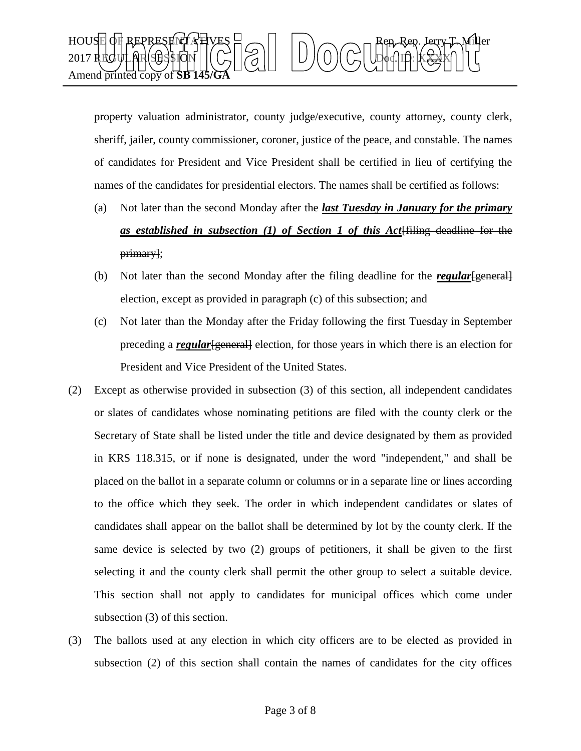

property valuation administrator, county judge/executive, county attorney, county clerk, sheriff, jailer, county commissioner, coroner, justice of the peace, and constable. The names of candidates for President and Vice President shall be certified in lieu of certifying the names of the candidates for presidential electors. The names shall be certified as follows:

- (a) Not later than the second Monday after the *last Tuesday in January for the primary as established in subsection (1) of Section 1 of this Act*[filing deadline for the primary];
- (b) Not later than the second Monday after the filing deadline for the *regular*[general] election, except as provided in paragraph (c) of this subsection; and
- (c) Not later than the Monday after the Friday following the first Tuesday in September preceding a *regular*[general] election, for those years in which there is an election for President and Vice President of the United States.
- (2) Except as otherwise provided in subsection (3) of this section, all independent candidates or slates of candidates whose nominating petitions are filed with the county clerk or the Secretary of State shall be listed under the title and device designated by them as provided in KRS 118.315, or if none is designated, under the word "independent," and shall be placed on the ballot in a separate column or columns or in a separate line or lines according to the office which they seek. The order in which independent candidates or slates of candidates shall appear on the ballot shall be determined by lot by the county clerk. If the same device is selected by two (2) groups of petitioners, it shall be given to the first selecting it and the county clerk shall permit the other group to select a suitable device. This section shall not apply to candidates for municipal offices which come under subsection (3) of this section.
- (3) The ballots used at any election in which city officers are to be elected as provided in subsection (2) of this section shall contain the names of candidates for the city offices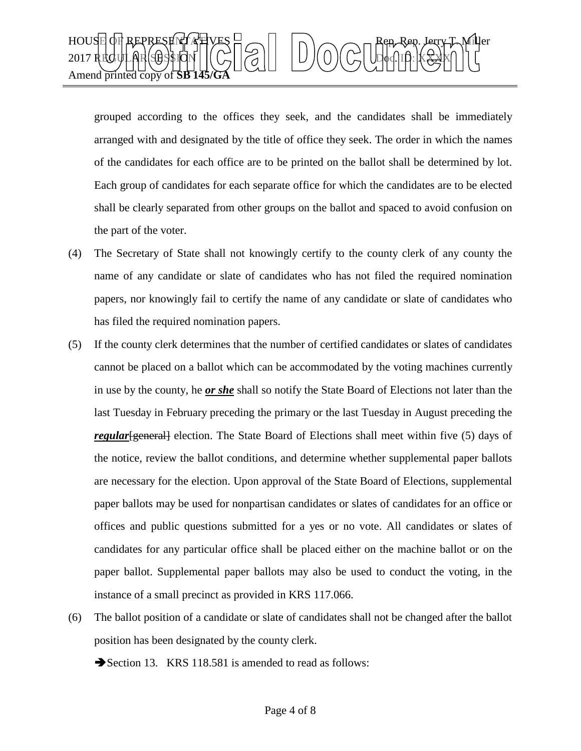

grouped according to the offices they seek, and the candidates shall be immediately arranged with and designated by the title of office they seek. The order in which the names of the candidates for each office are to be printed on the ballot shall be determined by lot. Each group of candidates for each separate office for which the candidates are to be elected shall be clearly separated from other groups on the ballot and spaced to avoid confusion on the part of the voter.

- (4) The Secretary of State shall not knowingly certify to the county clerk of any county the name of any candidate or slate of candidates who has not filed the required nomination papers, nor knowingly fail to certify the name of any candidate or slate of candidates who has filed the required nomination papers.
- (5) If the county clerk determines that the number of certified candidates or slates of candidates cannot be placed on a ballot which can be accommodated by the voting machines currently in use by the county, he *or she* shall so notify the State Board of Elections not later than the last Tuesday in February preceding the primary or the last Tuesday in August preceding the *regular*[general] election. The State Board of Elections shall meet within five (5) days of the notice, review the ballot conditions, and determine whether supplemental paper ballots are necessary for the election. Upon approval of the State Board of Elections, supplemental paper ballots may be used for nonpartisan candidates or slates of candidates for an office or offices and public questions submitted for a yes or no vote. All candidates or slates of candidates for any particular office shall be placed either on the machine ballot or on the paper ballot. Supplemental paper ballots may also be used to conduct the voting, in the instance of a small precinct as provided in KRS 117.066.
- (6) The ballot position of a candidate or slate of candidates shall not be changed after the ballot position has been designated by the county clerk.

Section 13. KRS 118.581 is amended to read as follows: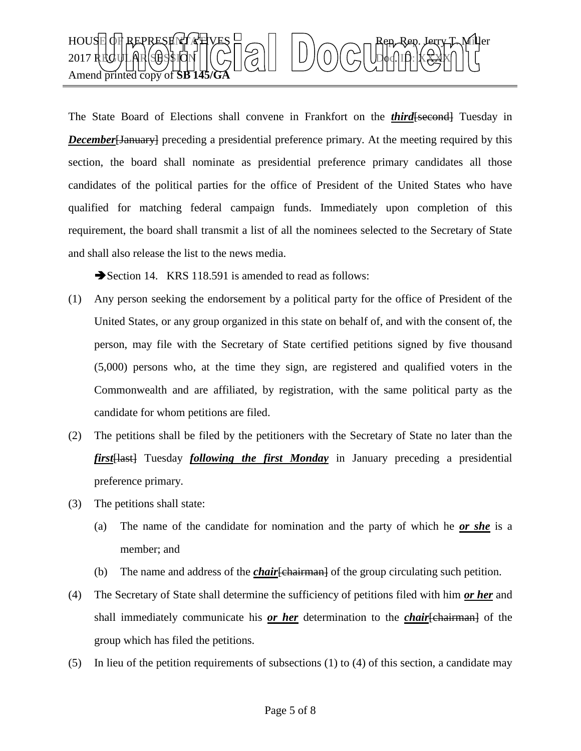

The State Board of Elections shall convene in Frankfort on the *third* [second] Tuesday in **December** [January] preceding a presidential preference primary. At the meeting required by this section, the board shall nominate as presidential preference primary candidates all those candidates of the political parties for the office of President of the United States who have qualified for matching federal campaign funds. Immediately upon completion of this requirement, the board shall transmit a list of all the nominees selected to the Secretary of State and shall also release the list to the news media.

Section 14. KRS 118.591 is amended to read as follows:

- (1) Any person seeking the endorsement by a political party for the office of President of the United States, or any group organized in this state on behalf of, and with the consent of, the person, may file with the Secretary of State certified petitions signed by five thousand (5,000) persons who, at the time they sign, are registered and qualified voters in the Commonwealth and are affiliated, by registration, with the same political party as the candidate for whom petitions are filed.
- (2) The petitions shall be filed by the petitioners with the Secretary of State no later than the *first*[last] Tuesday *following the first Monday* in January preceding a presidential preference primary.
- (3) The petitions shall state:
	- (a) The name of the candidate for nomination and the party of which he *or she* is a member; and
	- (b) The name and address of the *chair*[chairman] of the group circulating such petition.
- (4) The Secretary of State shall determine the sufficiency of petitions filed with him *or her* and shall immediately communicate his *or her* determination to the *chair*[chairman] of the group which has filed the petitions.
- (5) In lieu of the petition requirements of subsections (1) to (4) of this section, a candidate may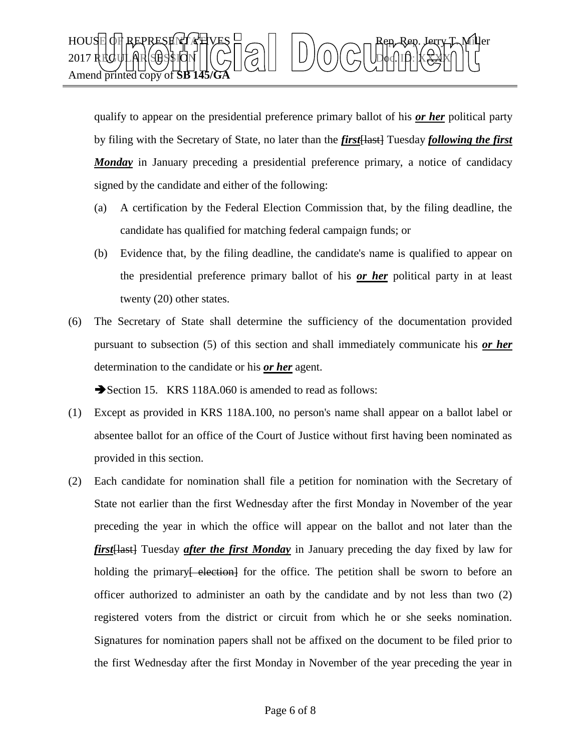

qualify to appear on the presidential preference primary ballot of his *or her* political party by filing with the Secretary of State, no later than the *first* [Hast] Tuesday *following the first Monday* in January preceding a presidential preference primary, a notice of candidacy signed by the candidate and either of the following:

- (a) A certification by the Federal Election Commission that, by the filing deadline, the candidate has qualified for matching federal campaign funds; or
- (b) Evidence that, by the filing deadline, the candidate's name is qualified to appear on the presidential preference primary ballot of his *or her* political party in at least twenty (20) other states.
- (6) The Secretary of State shall determine the sufficiency of the documentation provided pursuant to subsection (5) of this section and shall immediately communicate his *or her*  determination to the candidate or his *or her* agent.

Section 15. KRS 118A.060 is amended to read as follows:

- (1) Except as provided in KRS 118A.100, no person's name shall appear on a ballot label or absentee ballot for an office of the Court of Justice without first having been nominated as provided in this section.
- (2) Each candidate for nomination shall file a petition for nomination with the Secretary of State not earlier than the first Wednesday after the first Monday in November of the year preceding the year in which the office will appear on the ballot and not later than the *first*[last] Tuesday *after the first Monday* in January preceding the day fixed by law for holding the primary election for the office. The petition shall be sworn to before an officer authorized to administer an oath by the candidate and by not less than two (2) registered voters from the district or circuit from which he or she seeks nomination. Signatures for nomination papers shall not be affixed on the document to be filed prior to the first Wednesday after the first Monday in November of the year preceding the year in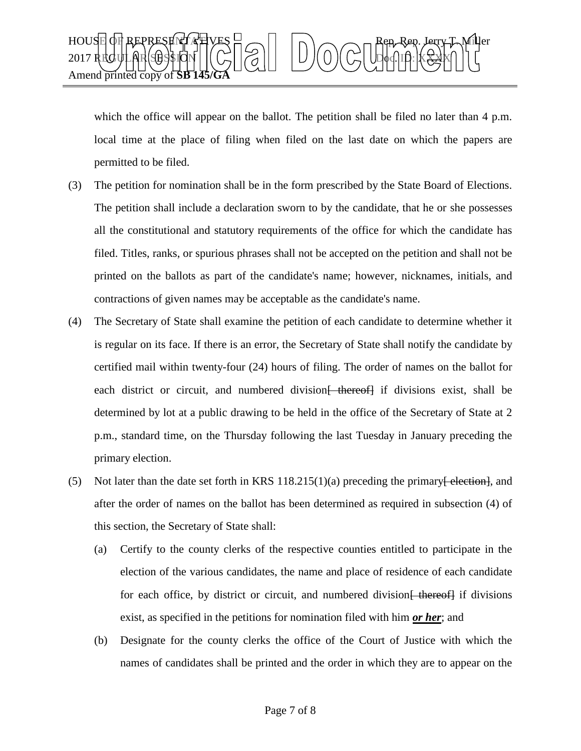

which the office will appear on the ballot. The petition shall be filed no later than 4 p.m. local time at the place of filing when filed on the last date on which the papers are permitted to be filed.

- (3) The petition for nomination shall be in the form prescribed by the State Board of Elections. The petition shall include a declaration sworn to by the candidate, that he or she possesses all the constitutional and statutory requirements of the office for which the candidate has filed. Titles, ranks, or spurious phrases shall not be accepted on the petition and shall not be printed on the ballots as part of the candidate's name; however, nicknames, initials, and contractions of given names may be acceptable as the candidate's name.
- (4) The Secretary of State shall examine the petition of each candidate to determine whether it is regular on its face. If there is an error, the Secretary of State shall notify the candidate by certified mail within twenty-four (24) hours of filing. The order of names on the ballot for each district or circuit, and numbered division thereof if divisions exist, shall be determined by lot at a public drawing to be held in the office of the Secretary of State at 2 p.m., standard time, on the Thursday following the last Tuesday in January preceding the primary election.
- (5) Not later than the date set forth in KRS  $118.215(1)(a)$  preceding the primary  $\frac{e}{e}$  election  $\frac{1}{2}$ , and after the order of names on the ballot has been determined as required in subsection (4) of this section, the Secretary of State shall:
	- (a) Certify to the county clerks of the respective counties entitled to participate in the election of the various candidates, the name and place of residence of each candidate for each office, by district or circuit, and numbered division [ thereof] if divisions exist, as specified in the petitions for nomination filed with him *or her*; and
	- (b) Designate for the county clerks the office of the Court of Justice with which the names of candidates shall be printed and the order in which they are to appear on the